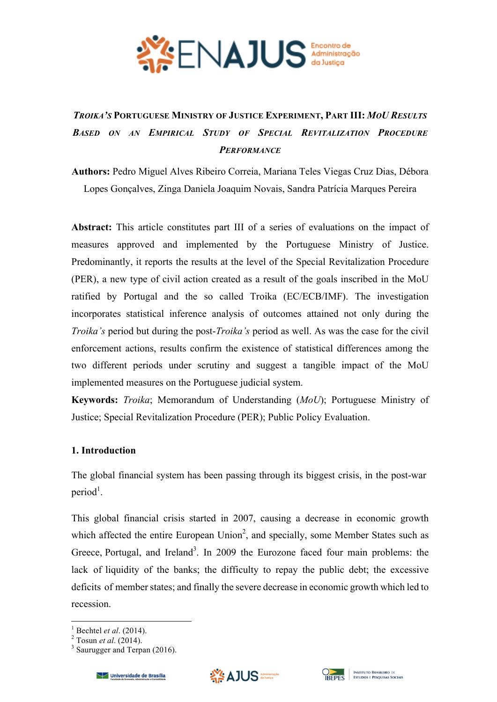

# *TROIKA'S* **PORTUGUESE MINISTRY OF JUSTICE EXPERIMENT, PART III:** *MOU RESULTS BASED ON AN EMPIRICAL STUDY OF SPECIAL REVITALIZATION PROCEDURE PERFORMANCE*

**Authors:** Pedro Miguel Alves Ribeiro Correia, Mariana Teles Viegas Cruz Dias, Débora Lopes Gonçalves, Zinga Daniela Joaquim Novais, Sandra Patrícia Marques Pereira

**Abstract:** This article constitutes part III of a series of evaluations on the impact of measures approved and implemented by the Portuguese Ministry of Justice. Predominantly, it reports the results at the level of the Special Revitalization Procedure (PER), a new type of civil action created as a result of the goals inscribed in the MoU ratified by Portugal and the so called Troika (EC/ECB/IMF). The investigation incorporates statistical inference analysis of outcomes attained not only during the *Troika's* period but during the post-*Troika's* period as well. As was the case for the civil enforcement actions, results confirm the existence of statistical differences among the two different periods under scrutiny and suggest a tangible impact of the MoU implemented measures on the Portuguese judicial system.

**Keywords:** *Troika*; Memorandum of Understanding (*MoU*); Portuguese Ministry of Justice; Special Revitalization Procedure (PER); Public Policy Evaluation.

## **1. Introduction**

The global financial system has been passing through its biggest crisis, in the post-war  $period<sup>1</sup>$ .

This global financial crisis started in 2007, causing a decrease in economic growth which affected the entire European Union<sup>2</sup>, and specially, some Member States such as Greece, Portugal, and Ireland<sup>3</sup>. In 2009 the Eurozone faced four main problems: the lack of liquidity of the banks; the difficulty to repay the public debt; the excessive deficits of member states; and finally the severe decrease in economic growth which led to recession.







<sup>&</sup>lt;sup>1</sup> Bechtel *et al.* (2014).<br><sup>2</sup> Tosun *et al.* (2014).<br><sup>3</sup> Saurugger and Terpan (2016).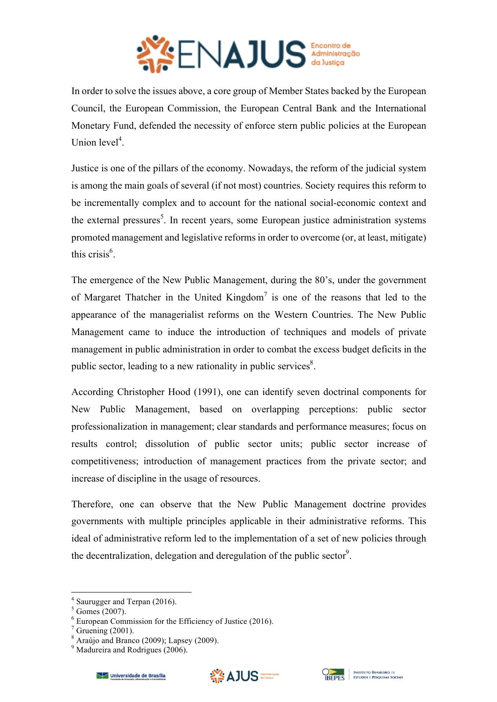

In order to solve the issues above, a core group of Member States backed by the European Council, the European Commission, the European Central Bank and the International Monetary Fund, defended the necessity of enforce stern public policies at the European Union level<sup>4</sup>.

Justice is one of the pillars of the economy. Nowadays, the reform of the judicial system is among the main goals of several (if not most) countries. Society requires this reform to be incrementally complex and to account for the national social-economic context and the external pressures<sup>5</sup>. In recent years, some European justice administration systems promoted management and legislative reforms in order to overcome (or, at least, mitigate) this crisis $<sup>6</sup>$ .</sup>

The emergence of the New Public Management, during the 80's, under the government of Margaret Thatcher in the United Kingdom<sup>7</sup> is one of the reasons that led to the appearance of the managerialist reforms on the Western Countries. The New Public Management came to induce the introduction of techniques and models of private management in public administration in order to combat the excess budget deficits in the public sector, leading to a new rationality in public services $\delta$ .

According Christopher Hood (1991), one can identify seven doctrinal components for New Public Management, based on overlapping perceptions: public sector professionalization in management; clear standards and performance measures; focus on results control; dissolution of public sector units; public sector increase of competitiveness; introduction of management practices from the private sector; and increase of discipline in the usage of resources.

Therefore, one can observe that the New Public Management doctrine provides governments with multiple principles applicable in their administrative reforms. This ideal of administrative reform led to the implementation of a set of new policies through the decentralization, delegation and deregulation of the public sector<sup>9</sup>.





<sup>4</sup> Saurugger and Terpan (2016).

 $<sup>5</sup>$  Gomes (2007).</sup>

 $6$  European Commission for the Efficiency of Justice (2016).

 $7$  Gruening (2001).

<sup>8</sup> Araújo and Branco (2009); Lapsey (2009).

<sup>&</sup>lt;sup>9</sup> Madureira and Rodrigues (2006).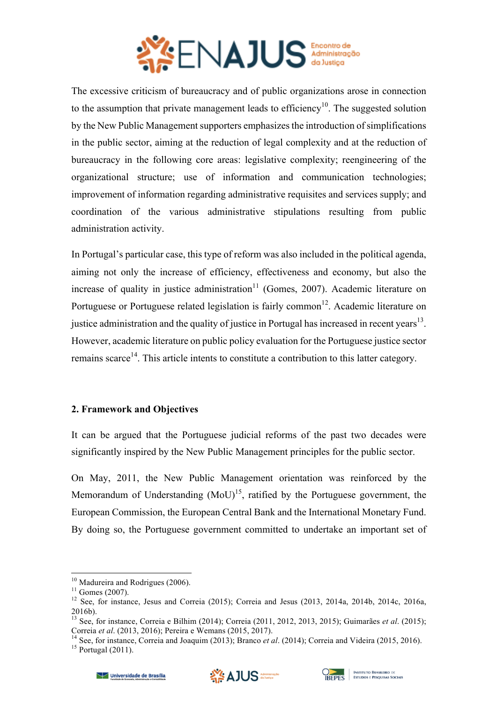

The excessive criticism of bureaucracy and of public organizations arose in connection to the assumption that private management leads to efficiency<sup>10</sup>. The suggested solution by the New Public Management supporters emphasizes the introduction of simplifications in the public sector, aiming at the reduction of legal complexity and at the reduction of bureaucracy in the following core areas: legislative complexity; reengineering of the organizational structure; use of information and communication technologies; improvement of information regarding administrative requisites and services supply; and coordination of the various administrative stipulations resulting from public administration activity.

In Portugal's particular case, this type of reform was also included in the political agenda, aiming not only the increase of efficiency, effectiveness and economy, but also the increase of quality in justice administration<sup>11</sup> (Gomes, 2007). Academic literature on Portuguese or Portuguese related legislation is fairly common<sup>12</sup>. Academic literature on justice administration and the quality of justice in Portugal has increased in recent years<sup>13</sup>. However, academic literature on public policy evaluation for the Portuguese justice sector remains scarce<sup>14</sup>. This article intents to constitute a contribution to this latter category.

## **2. Framework and Objectives**

It can be argued that the Portuguese judicial reforms of the past two decades were significantly inspired by the New Public Management principles for the public sector.

On May, 2011, the New Public Management orientation was reinforced by the Memorandum of Understanding  $(MoU)^{15}$ , ratified by the Portuguese government, the European Commission, the European Central Bank and the International Monetary Fund. By doing so, the Portuguese government committed to undertake an important set of





<sup>&</sup>lt;u> Andrew Maria (1989)</u>

<sup>&</sup>lt;sup>10</sup> Madureira and Rodrigues (2006).<br><sup>11</sup> Gomes (2007).<br><sup>12</sup> See, for instance, Jesus and Correia (2015); Correia and Jesus (2013, 2014a, 2014b, 2014c, 2016a, 2016b).

<sup>20100).&</sup>lt;br><sup>13</sup> See, for instance, Correia e Bilhim (2014); Correia (2011, 2012, 2013, 2015); Guimarães *et al.* (2015); Correia *et al.* (2013, 2016); Pereira e Wemans (2015, 2017).

<sup>&</sup>lt;sup>14</sup> See, for instance, Correia and Joaquim (2013); Branco *et al.* (2014); Correia and Videira (2015, 2016). <sup>15</sup> Portugal (2011).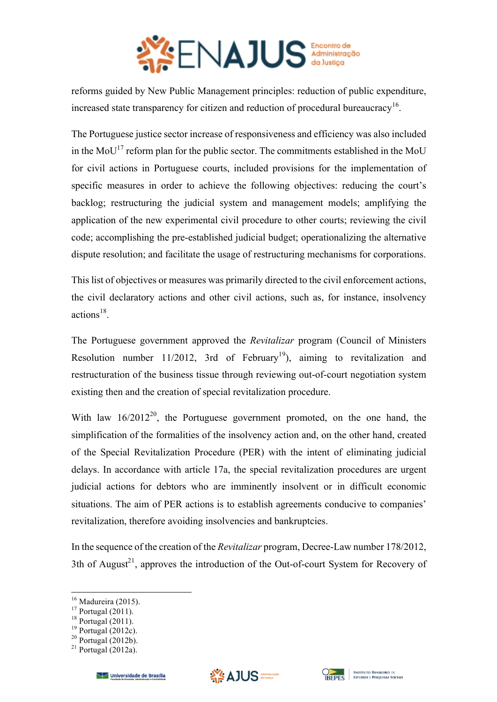

reforms guided by New Public Management principles: reduction of public expenditure, increased state transparency for citizen and reduction of procedural bureaucracy<sup>16</sup>.

The Portuguese justice sector increase of responsiveness and efficiency was also included in the MoU<sup>17</sup> reform plan for the public sector. The commitments established in the MoU for civil actions in Portuguese courts, included provisions for the implementation of specific measures in order to achieve the following objectives: reducing the court's backlog; restructuring the judicial system and management models; amplifying the application of the new experimental civil procedure to other courts; reviewing the civil code; accomplishing the pre-established judicial budget; operationalizing the alternative dispute resolution; and facilitate the usage of restructuring mechanisms for corporations.

This list of objectives or measures was primarily directed to the civil enforcement actions, the civil declaratory actions and other civil actions, such as, for instance, insolvency actions<sup>18</sup>.

The Portuguese government approved the *Revitalizar* program (Council of Ministers Resolution number 11/2012, 3rd of February<sup>19</sup>), aiming to revitalization and restructuration of the business tissue through reviewing out-of-court negotiation system existing then and the creation of special revitalization procedure.

With law  $16/2012^{20}$ , the Portuguese government promoted, on the one hand, the simplification of the formalities of the insolvency action and, on the other hand, created of the Special Revitalization Procedure (PER) with the intent of eliminating judicial delays. In accordance with article 17a, the special revitalization procedures are urgent judicial actions for debtors who are imminently insolvent or in difficult economic situations. The aim of PER actions is to establish agreements conducive to companies' revitalization, therefore avoiding insolvencies and bankruptcies.

In the sequence of the creation of the *Revitalizar* program, Decree-Law number 178/2012, 3th of August<sup>21</sup>, approves the introduction of the Out-of-court System for Recovery of





<sup>&</sup>lt;sup>16</sup> Madureira (2015).<br><sup>17</sup> Portugal (2011).<br><sup>18</sup> Portugal (2012c).<br><sup>20</sup> Portugal (2012b).<br><sup>21</sup> Portugal (2012a).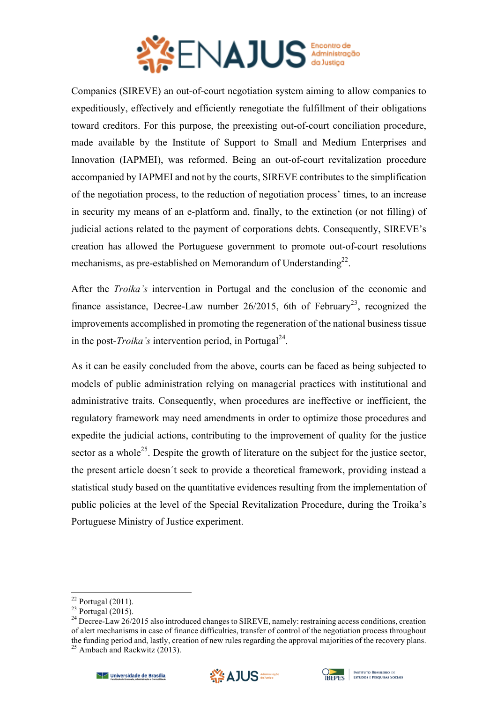

Companies (SIREVE) an out-of-court negotiation system aiming to allow companies to expeditiously, effectively and efficiently renegotiate the fulfillment of their obligations toward creditors. For this purpose, the preexisting out-of-court conciliation procedure, made available by the Institute of Support to Small and Medium Enterprises and Innovation (IAPMEI), was reformed. Being an out-of-court revitalization procedure accompanied by IAPMEI and not by the courts, SIREVE contributes to the simplification of the negotiation process, to the reduction of negotiation process' times, to an increase in security my means of an e-platform and, finally, to the extinction (or not filling) of judicial actions related to the payment of corporations debts. Consequently, SIREVE's creation has allowed the Portuguese government to promote out-of-court resolutions mechanisms, as pre-established on Memorandum of Understanding<sup>22</sup>.

After the *Troika's* intervention in Portugal and the conclusion of the economic and finance assistance, Decree-Law number 26/2015, 6th of February<sup>23</sup>, recognized the improvements accomplished in promoting the regeneration of the national business tissue in the post-*Troika's* intervention period, in Portugal<sup>24</sup>.

As it can be easily concluded from the above, courts can be faced as being subjected to models of public administration relying on managerial practices with institutional and administrative traits. Consequently, when procedures are ineffective or inefficient, the regulatory framework may need amendments in order to optimize those procedures and expedite the judicial actions, contributing to the improvement of quality for the justice sector as a whole<sup>25</sup>. Despite the growth of literature on the subject for the justice sector, the present article doesn´t seek to provide a theoretical framework, providing instead a statistical study based on the quantitative evidences resulting from the implementation of public policies at the level of the Special Revitalization Procedure, during the Troika's Portuguese Ministry of Justice experiment.





<sup>&</sup>lt;sup>22</sup> Portugal (2011).<br><sup>23</sup> Portugal (2015).<br><sup>24</sup> Decree-Law 26/2015 also introduced changes to SIREVE, namely: restraining access conditions, creation of alert mechanisms in case of finance difficulties, transfer of control of the negotiation process throughout the funding period and, lastly, creation of new rules regarding the approval majorities of the recovery plans.<br><sup>25</sup> Ambach and Rackwitz (2013).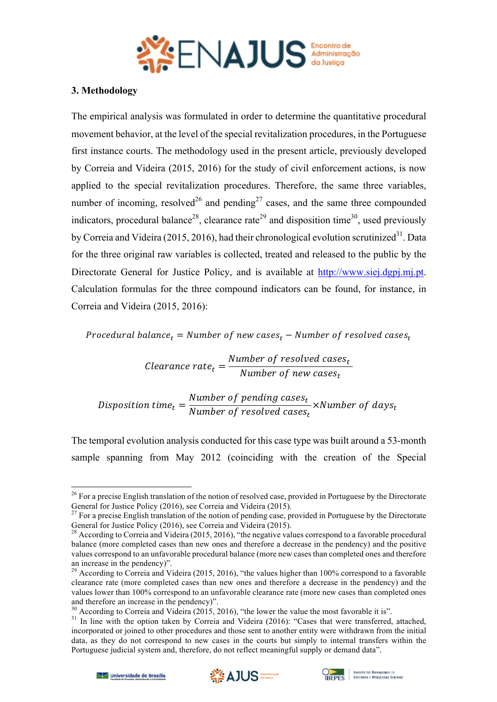

## **3. Methodology**

The empirical analysis was formulated in order to determine the quantitative procedural movement behavior, at the level of the special revitalization procedures, in the Portuguese first instance courts. The methodology used in the present article, previously developed by Correia and Videira (2015, 2016) for the study of civil enforcement actions, is now applied to the special revitalization procedures. Therefore, the same three variables, number of incoming, resolved<sup>26</sup> and pending<sup>27</sup> cases, and the same three compounded indicators, procedural balance<sup>28</sup>, clearance rate<sup>29</sup> and disposition time<sup>30</sup>, used previously by Correia and Videira (2015, 2016), had their chronological evolution scrutinized<sup>31</sup>. Data for the three original raw variables is collected, treated and released to the public by the Directorate General for Justice Policy, and is available at http://www.siej.dgpj.mj.pt. Calculation formulas for the three compound indicators can be found, for instance, in Correia and Videira (2015, 2016):

Procedural balance<sub>t</sub> = Number of new cases<sub>t</sub> – Number of resolved cases<sub>t</sub>

Clearance rate<sub>t</sub> =  $\frac{Number\ of\ resolved\ cases_t}{Number\ of\ new\ cases_t}$ Number of new cases<sub>t</sub>

Disposition time<sub>t</sub> =  $\frac{Number\ of\ pending\ cases_t}{Number\ of\ resolved\ cases}$ Number of resolved cases<sub>t</sub>  $\times$ Number of days $_{t}$ 

The temporal evolution analysis conducted for this case type was built around a 53-month sample spanning from May 2012 (coinciding with the creation of the Special





<sup>&</sup>lt;sup>26</sup> For a precise English translation of the notion of resolved case, provided in Portuguese by the Directorate General for Justice Policy (2016), see Correia and Videira (2015).<br><sup>27</sup> For a precise English translation of the notion of pending case, provided in Portuguese by the Directorate

General for Justice Policy (2016), see Correia and Videira (2015).

<sup>&</sup>lt;sup>28</sup> According to Correia and Videira (2015, 2016), "the negative values correspond to a favorable procedural balance (more completed cases than new ones and therefore a decrease in the pendency) and the positive values correspond to an unfavorable procedural balance (more new cases than completed ones and therefore an increase in the pendency)".

<sup>&</sup>lt;sup>29</sup> According to Correia and Videira (2015, 2016), "the values higher than 100% correspond to a favorable clearance rate (more completed cases than new ones and therefore a decrease in the pendency) and the values lower than 100% correspond to an unfavorable clearance rate (more new cases than completed ones and therefore an increase in the pendency)".

<sup>&</sup>lt;sup>30</sup> According to Correia and Videira (2015, 2016), "the lower the value the most favorable it is".<br><sup>31</sup> In line with the option taken by Correia and Videira (2016): "Cases that were transferred, attached, incorporated or joined to other procedures and those sent to another entity were withdrawn from the initial data, as they do not correspond to new cases in the courts but simply to internal transfers within the Portuguese judicial system and, therefore, do not reflect meaningful supply or demand data".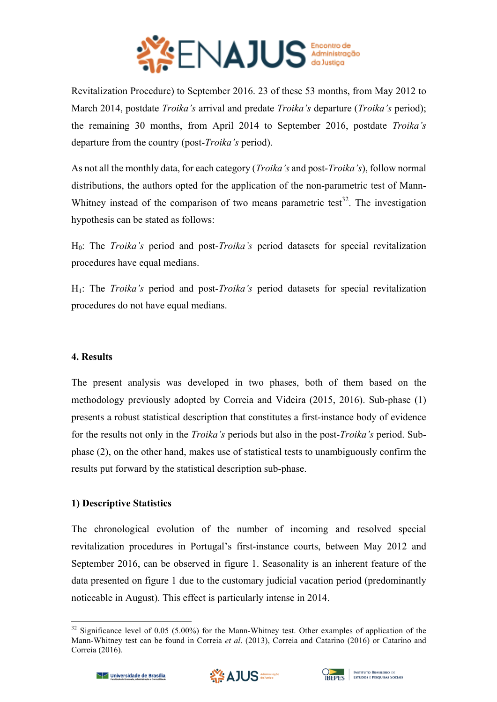

Revitalization Procedure) to September 2016. 23 of these 53 months, from May 2012 to March 2014, postdate *Troika's* arrival and predate *Troika's* departure (*Troika's* period); the remaining 30 months, from April 2014 to September 2016, postdate *Troika's* departure from the country (post-*Troika's* period).

As not all the monthly data, for each category (*Troika's* and post-*Troika's*), follow normal distributions, the authors opted for the application of the non-parametric test of Mann-Whitney instead of the comparison of two means parametric test<sup>32</sup>. The investigation hypothesis can be stated as follows:

H0: The *Troika's* period and post-*Troika's* period datasets for special revitalization procedures have equal medians.

H1: The *Troika's* period and post-*Troika's* period datasets for special revitalization procedures do not have equal medians.

# **4. Results**

The present analysis was developed in two phases, both of them based on the methodology previously adopted by Correia and Videira (2015, 2016). Sub-phase (1) presents a robust statistical description that constitutes a first-instance body of evidence for the results not only in the *Troika's* periods but also in the post-*Troika's* period. Subphase (2), on the other hand, makes use of statistical tests to unambiguously confirm the results put forward by the statistical description sub-phase.

# **1) Descriptive Statistics**

The chronological evolution of the number of incoming and resolved special revitalization procedures in Portugal's first-instance courts, between May 2012 and September 2016, can be observed in figure 1. Seasonality is an inherent feature of the data presented on figure 1 due to the customary judicial vacation period (predominantly noticeable in August). This effect is particularly intense in 2014.





<sup>&</sup>lt;u> Andrew Maria (1989)</u>  $32$  Significance level of 0.05 (5.00%) for the Mann-Whitney test. Other examples of application of the Mann-Whitney test can be found in Correia *et al*. (2013), Correia and Catarino (2016) or Catarino and Correia (2016).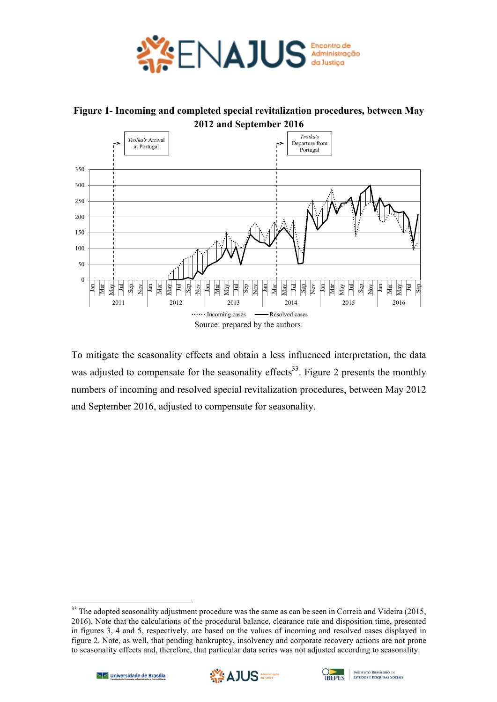

**Figure 1- Incoming and completed special revitalization procedures, between May 2012 and September 2016**



To mitigate the seasonality effects and obtain a less influenced interpretation, the data was adjusted to compensate for the seasonality effects<sup>33</sup>. Figure 2 presents the monthly numbers of incoming and resolved special revitalization procedures, between May 2012 and September 2016, adjusted to compensate for seasonality.





 $33$  The adopted seasonality adjustment procedure was the same as can be seen in Correia and Videira (2015, 2016). Note that the calculations of the procedural balance, clearance rate and disposition time, presented in figures 3, 4 and 5, respectively, are based on the values of incoming and resolved cases displayed in figure 2. Note, as well, that pending bankruptcy, insolvency and corporate recovery actions are not prone to seasonality effects and, therefore, that particular data series was not adjusted according to seasonality.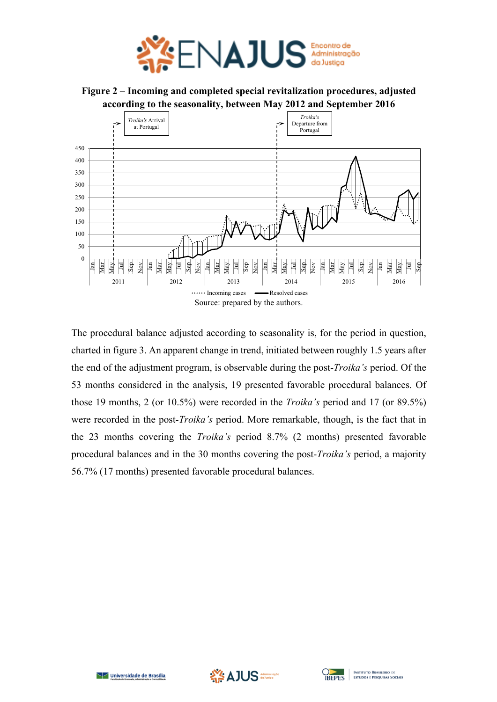

**Figure 2 – Incoming and completed special revitalization procedures, adjusted according to the seasonality, between May 2012 and September 2016**



The procedural balance adjusted according to seasonality is, for the period in question, charted in figure 3. An apparent change in trend, initiated between roughly 1.5 years after the end of the adjustment program, is observable during the post-*Troika's* period. Of the 53 months considered in the analysis, 19 presented favorable procedural balances. Of those 19 months, 2 (or 10.5%) were recorded in the *Troika's* period and 17 (or 89.5%) were recorded in the post-*Troika's* period. More remarkable, though, is the fact that in the 23 months covering the *Troika's* period 8.7% (2 months) presented favorable procedural balances and in the 30 months covering the post-*Troika's* period, a majority 56.7% (17 months) presented favorable procedural balances.





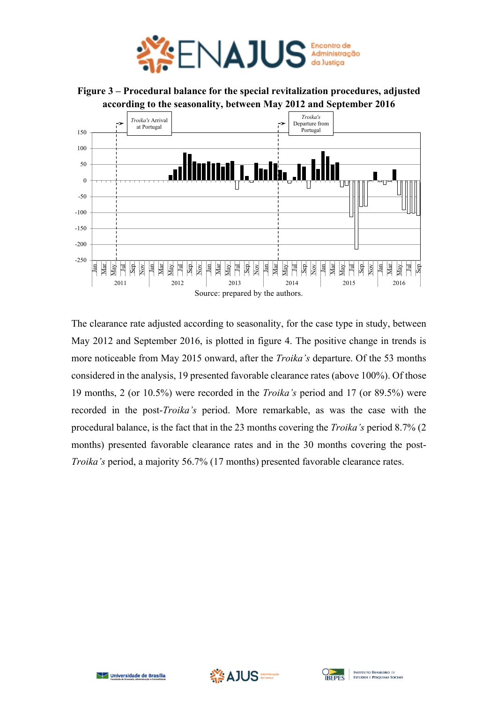

**Figure 3 – Procedural balance for the special revitalization procedures, adjusted according to the seasonality, between May 2012 and September 2016**



The clearance rate adjusted according to seasonality, for the case type in study, between May 2012 and September 2016, is plotted in figure 4. The positive change in trends is more noticeable from May 2015 onward, after the *Troika's* departure. Of the 53 months considered in the analysis, 19 presented favorable clearance rates (above 100%). Of those 19 months, 2 (or 10.5%) were recorded in the *Troika's* period and 17 (or 89.5%) were recorded in the post-*Troika's* period. More remarkable, as was the case with the procedural balance, is the fact that in the 23 months covering the *Troika's* period 8.7% (2 months) presented favorable clearance rates and in the 30 months covering the post-*Troika's* period, a majority 56.7% (17 months) presented favorable clearance rates.





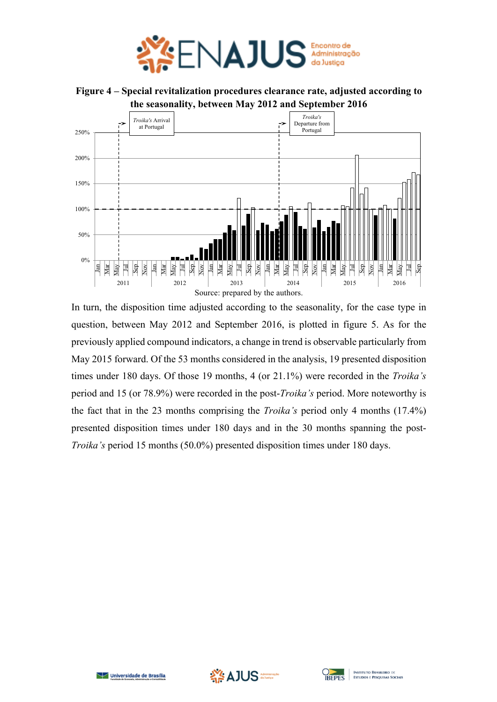

**Figure 4 – Special revitalization procedures clearance rate, adjusted according to the seasonality, between May 2012 and September 2016**



In turn, the disposition time adjusted according to the seasonality, for the case type in question, between May 2012 and September 2016, is plotted in figure 5. As for the previously applied compound indicators, a change in trend is observable particularly from May 2015 forward. Of the 53 months considered in the analysis, 19 presented disposition times under 180 days. Of those 19 months, 4 (or 21.1%) were recorded in the *Troika's* period and 15 (or 78.9%) were recorded in the post-*Troika's* period. More noteworthy is the fact that in the 23 months comprising the *Troika's* period only 4 months (17.4%) presented disposition times under 180 days and in the 30 months spanning the post-*Troika's* period 15 months (50.0%) presented disposition times under 180 days.



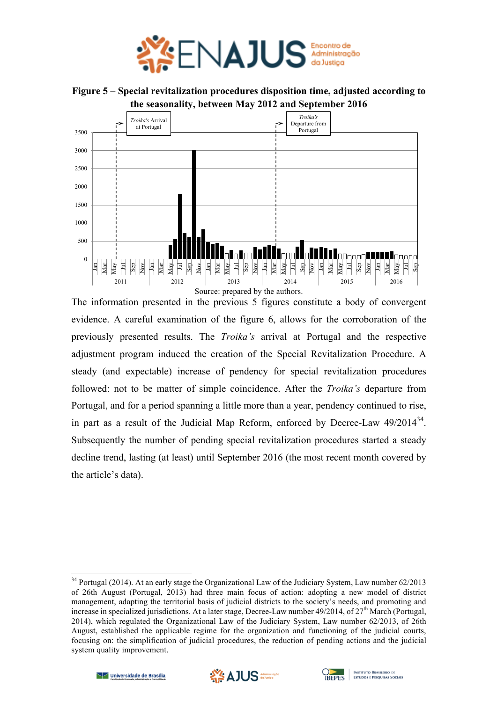

**Figure 5 – Special revitalization procedures disposition time, adjusted according to the seasonality, between May 2012 and September 2016**



The information presented in the previous 5 figures constitute a body of convergent evidence. A careful examination of the figure 6, allows for the corroboration of the previously presented results. The *Troika's* arrival at Portugal and the respective adjustment program induced the creation of the Special Revitalization Procedure. A steady (and expectable) increase of pendency for special revitalization procedures followed: not to be matter of simple coincidence. After the *Troika's* departure from Portugal, and for a period spanning a little more than a year, pendency continued to rise, in part as a result of the Judicial Map Reform, enforced by Decree-Law 49/2014<sup>34</sup>. Subsequently the number of pending special revitalization procedures started a steady decline trend, lasting (at least) until September 2016 (the most recent month covered by the article's data).





<sup>&</sup>lt;sup>34</sup> Portugal (2014). At an early stage the Organizational Law of the Judiciary System, Law number 62/2013 of 26th August (Portugal, 2013) had three main focus of action: adopting a new model of district management, adapting the territorial basis of judicial districts to the society's needs, and promoting and increase in specialized jurisdictions. At a later stage, Decree-Law number  $49/2014$ , of  $27<sup>th</sup>$  March (Portugal, 2014), which regulated the Organizational Law of the Judiciary System, Law number 62/2013, of 26th August, established the applicable regime for the organization and functioning of the judicial courts, focusing on: the simplification of judicial procedures, the reduction of pending actions and the judicial system quality improvement.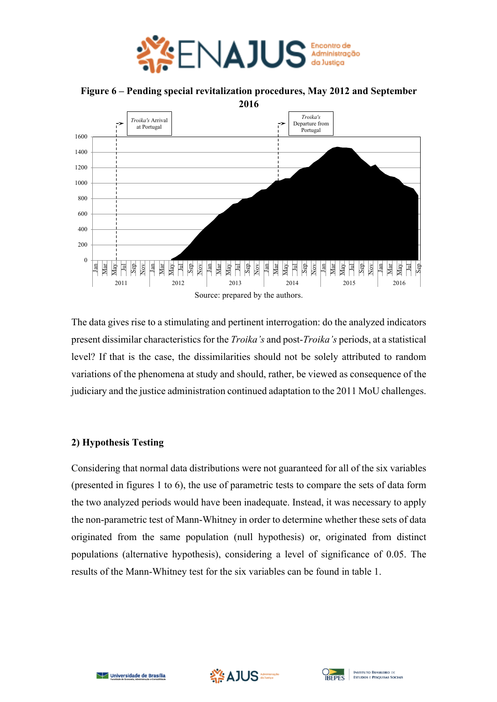



**Figure 6 – Pending special revitalization procedures, May 2012 and September** 

The data gives rise to a stimulating and pertinent interrogation: do the analyzed indicators present dissimilar characteristics for the *Troika's* and post-*Troika's* periods, at a statistical level? If that is the case, the dissimilarities should not be solely attributed to random variations of the phenomena at study and should, rather, be viewed as consequence of the judiciary and the justice administration continued adaptation to the 2011 MoU challenges.

## **2) Hypothesis Testing**

Considering that normal data distributions were not guaranteed for all of the six variables (presented in figures 1 to 6), the use of parametric tests to compare the sets of data form the two analyzed periods would have been inadequate. Instead, it was necessary to apply the non-parametric test of Mann-Whitney in order to determine whether these sets of data originated from the same population (null hypothesis) or, originated from distinct populations (alternative hypothesis), considering a level of significance of 0.05. The results of the Mann-Whitney test for the six variables can be found in table 1.



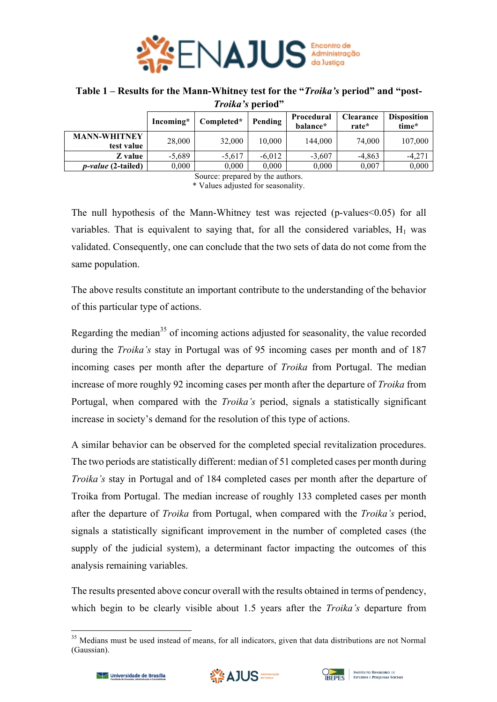

## **Table 1 – Results for the Mann-Whitney test for the "***Troika's* **period" and "post-***Troika's* **period"**

|                                   | Incoming* | Completed* | Pending  | Procedural<br>balance* | Clearance<br>rate* | <b>Disposition</b><br>time* |
|-----------------------------------|-----------|------------|----------|------------------------|--------------------|-----------------------------|
| <b>MANN-WHITNEY</b><br>test value | 28,000    | 32,000     | 10.000   | 144,000                | 74,000             | 107,000                     |
| Z value                           | $-5.689$  | $-5.617$   | $-6.012$ | $-3.607$               | $-4,863$           | $-4,271$                    |
| <i>p-value</i> (2-tailed)         | 0,000     | 0,000      | 0,000    | 0,000                  | 0,007              | 0,000                       |
| $\cdots$<br>$\sim$<br>$\sim$ 1    |           |            |          |                        |                    |                             |

Source: prepared by the authors. \* Values adjusted for seasonality.

The null hypothesis of the Mann-Whitney test was rejected (p-values < 0.05) for all variables. That is equivalent to saying that, for all the considered variables,  $H_1$  was validated. Consequently, one can conclude that the two sets of data do not come from the same population.

The above results constitute an important contribute to the understanding of the behavior of this particular type of actions.

Regarding the median<sup>35</sup> of incoming actions adjusted for seasonality, the value recorded during the *Troika's* stay in Portugal was of 95 incoming cases per month and of 187 incoming cases per month after the departure of *Troika* from Portugal. The median increase of more roughly 92 incoming cases per month after the departure of *Troika* from Portugal, when compared with the *Troika's* period, signals a statistically significant increase in society's demand for the resolution of this type of actions.

A similar behavior can be observed for the completed special revitalization procedures. The two periods are statistically different: median of 51 completed cases per month during *Troika's* stay in Portugal and of 184 completed cases per month after the departure of Troika from Portugal. The median increase of roughly 133 completed cases per month after the departure of *Troika* from Portugal, when compared with the *Troika's* period, signals a statistically significant improvement in the number of completed cases (the supply of the judicial system), a determinant factor impacting the outcomes of this analysis remaining variables.

The results presented above concur overall with the results obtained in terms of pendency, which begin to be clearly visible about 1.5 years after the *Troika's* departure from





<sup>&</sup>lt;sup>35</sup> Medians must be used instead of means, for all indicators, given that data distributions are not Normal (Gaussian).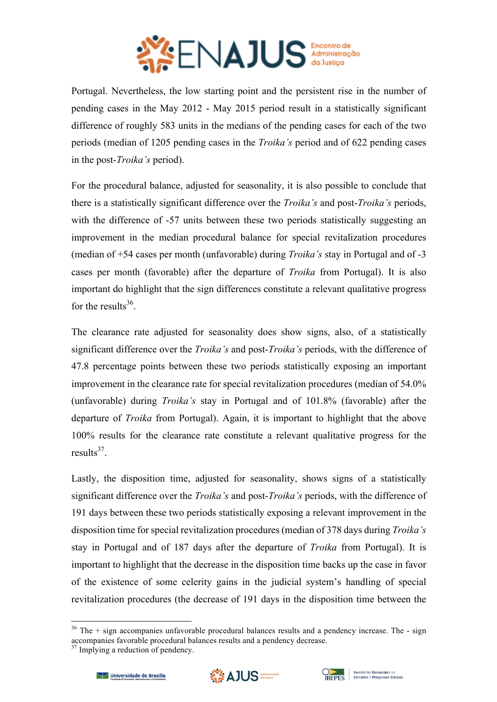

Portugal. Nevertheless, the low starting point and the persistent rise in the number of pending cases in the May 2012 - May 2015 period result in a statistically significant difference of roughly 583 units in the medians of the pending cases for each of the two periods (median of 1205 pending cases in the *Troika's* period and of 622 pending cases in the post-*Troika's* period).

For the procedural balance, adjusted for seasonality, it is also possible to conclude that there is a statistically significant difference over the *Troika's* and post-*Troika's* periods, with the difference of -57 units between these two periods statistically suggesting an improvement in the median procedural balance for special revitalization procedures (median of +54 cases per month (unfavorable) during *Troika's* stay in Portugal and of -3 cases per month (favorable) after the departure of *Troika* from Portugal). It is also important do highlight that the sign differences constitute a relevant qualitative progress for the results $36$ .

The clearance rate adjusted for seasonality does show signs, also, of a statistically significant difference over the *Troika's* and post-*Troika's* periods, with the difference of 47.8 percentage points between these two periods statistically exposing an important improvement in the clearance rate for special revitalization procedures (median of 54.0% (unfavorable) during *Troika's* stay in Portugal and of 101.8% (favorable) after the departure of *Troika* from Portugal). Again, it is important to highlight that the above 100% results for the clearance rate constitute a relevant qualitative progress for the results $37$ 

Lastly, the disposition time, adjusted for seasonality, shows signs of a statistically significant difference over the *Troika's* and post-*Troika's* periods, with the difference of 191 days between these two periods statistically exposing a relevant improvement in the disposition time for special revitalization procedures (median of 378 days during *Troika's* stay in Portugal and of 187 days after the departure of *Troika* from Portugal). It is important to highlight that the decrease in the disposition time backs up the case in favor of the existence of some celerity gains in the judicial system's handling of special revitalization procedures (the decrease of 191 days in the disposition time between the





 $36$  The  $+$  sign accompanies unfavorable procedural balances results and a pendency increase. The  $-$  sign accompanies favorable procedural balances results and a pendency decrease.

<sup>&</sup>lt;sup>37</sup> Implying a reduction of pendency.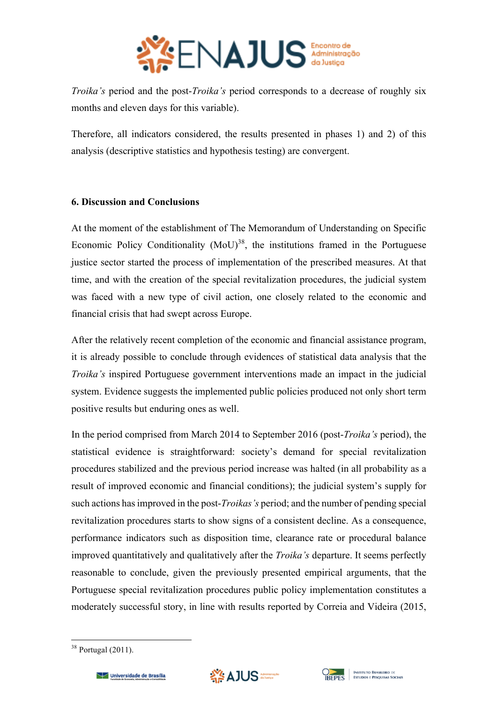

*Troika's* period and the post-*Troika's* period corresponds to a decrease of roughly six months and eleven days for this variable).

Therefore, all indicators considered, the results presented in phases 1) and 2) of this analysis (descriptive statistics and hypothesis testing) are convergent.

## **6. Discussion and Conclusions**

At the moment of the establishment of The Memorandum of Understanding on Specific Economic Policy Conditionality  $(MoU)^{38}$ , the institutions framed in the Portuguese justice sector started the process of implementation of the prescribed measures. At that time, and with the creation of the special revitalization procedures, the judicial system was faced with a new type of civil action, one closely related to the economic and financial crisis that had swept across Europe.

After the relatively recent completion of the economic and financial assistance program, it is already possible to conclude through evidences of statistical data analysis that the *Troika's* inspired Portuguese government interventions made an impact in the judicial system. Evidence suggests the implemented public policies produced not only short term positive results but enduring ones as well.

In the period comprised from March 2014 to September 2016 (post-*Troika's* period), the statistical evidence is straightforward: society's demand for special revitalization procedures stabilized and the previous period increase was halted (in all probability as a result of improved economic and financial conditions); the judicial system's supply for such actions has improved in the post-*Troikas's* period; and the number of pending special revitalization procedures starts to show signs of a consistent decline. As a consequence, performance indicators such as disposition time, clearance rate or procedural balance improved quantitatively and qualitatively after the *Troika's* departure. It seems perfectly reasonable to conclude, given the previously presented empirical arguments, that the Portuguese special revitalization procedures public policy implementation constitutes a moderately successful story, in line with results reported by Correia and Videira (2015,





 $38$  Portugal (2011).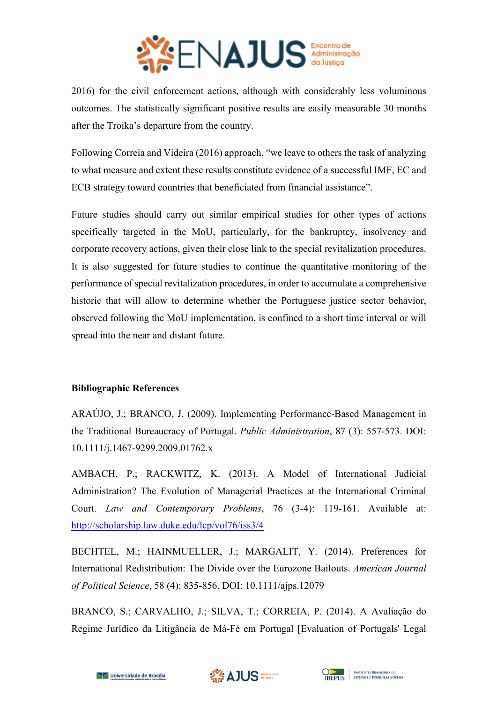

2016) for the civil enforcement actions, although with considerably less voluminous outcomes. The statistically significant positive results are easily measurable 30 months after the Troika's departure from the country.

Following Correia and Videira (2016) approach, "we leave to others the task of analyzing to what measure and extent these results constitute evidence of a successful IMF, EC and ECB strategy toward countries that beneficiated from financial assistance".

Future studies should carry out similar empirical studies for other types of actions specifically targeted in the MoU, particularly, for the bankruptcy, insolvency and corporate recovery actions, given their close link to the special revitalization procedures. It is also suggested for future studies to continue the quantitative monitoring of the performance of special revitalization procedures, in order to accumulate a comprehensive historic that will allow to determine whether the Portuguese justice sector behavior, observed following the MoU implementation, is confined to a short time interval or will spread into the near and distant future.

## **Bibliographic References**

ARAÚJO, J.; BRANCO, J. (2009). Implementing Performance-Based Management in the Traditional Bureaucracy of Portugal. *Public Administration*, 87 (3): 557-573. DOI: 10.1111/j.1467-9299.2009.01762.x

AMBACH, P.; RACKWITZ, K. (2013). A Model of International Judicial Administration? The Evolution of Managerial Practices at the International Criminal Court. *Law and Contemporary Problems*, 76 (3-4): 119-161. Available at: http://scholarship.law.duke.edu/lcp/vol76/iss3/4

BECHTEL, M.; HAINMUELLER, J.; MARGALIT, Y. (2014). Preferences for International Redistribution: The Divide over the Eurozone Bailouts. *American Journal of Political Science*, 58 (4): 835-856. DOI: 10.1111/ajps.12079

BRANCO, S.; CARVALHO, J.; SILVA, T.; CORREIA, P. (2014). A Avaliação do Regime Jurídico da Litigância de Má-Fé em Portugal [Evaluation of Portugals' Legal



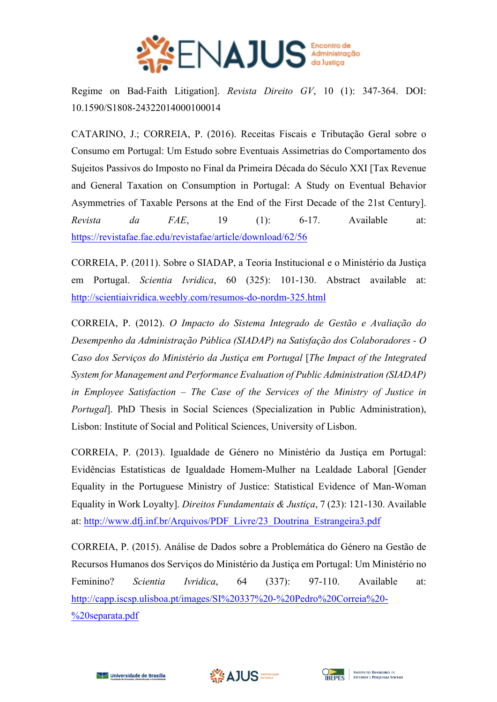

Regime on Bad-Faith Litigation]. *Revista Direito GV*, 10 (1): 347-364. DOI: 10.1590/S1808-24322014000100014

CATARINO, J.; CORREIA, P. (2016). Receitas Fiscais e Tributação Geral sobre o Consumo em Portugal: Um Estudo sobre Eventuais Assimetrias do Comportamento dos Sujeitos Passivos do Imposto no Final da Primeira Década do Século XXI [Tax Revenue and General Taxation on Consumption in Portugal: A Study on Eventual Behavior Asymmetries of Taxable Persons at the End of the First Decade of the 21st Century]. *Revista da FAE*, 19 (1): 6-17. Available at: https://revistafae.fae.edu/revistafae/article/download/62/56

CORREIA, P. (2011). Sobre o SIADAP, a Teoria Institucional e o Ministério da Justiça em Portugal. *Scientia Ivridica*, 60 (325): 101-130. Abstract available at: http://scientiaivridica.weebly.com/resumos-do-nordm-325.html

CORREIA, P. (2012). *O Impacto do Sistema Integrado de Gestão e Avaliação do Desempenho da Administração Pública (SIADAP) na Satisfação dos Colaboradores - O Caso dos Serviços do Ministério da Justiça em Portugal* [*The Impact of the Integrated System for Management and Performance Evaluation of Public Administration (SIADAP) in Employee Satisfaction – The Case of the Services of the Ministry of Justice in Portugal*]. PhD Thesis in Social Sciences (Specialization in Public Administration), Lisbon: Institute of Social and Political Sciences, University of Lisbon.

CORREIA, P. (2013). Igualdade de Género no Ministério da Justiça em Portugal: Evidências Estatísticas de Igualdade Homem-Mulher na Lealdade Laboral [Gender Equality in the Portuguese Ministry of Justice: Statistical Evidence of Man-Woman Equality in Work Loyalty]. *Direitos Fundamentais & Justiça*, 7 (23): 121-130. Available at: http://www.dfj.inf.br/Arquivos/PDF\_Livre/23\_Doutrina\_Estrangeira3.pdf

CORREIA, P. (2015). Análise de Dados sobre a Problemática do Género na Gestão de Recursos Humanos dos Serviços do Ministério da Justiça em Portugal: Um Ministério no Feminino? *Scientia Ivridica*, 64 (337): 97-110. Available at: http://capp.iscsp.ulisboa.pt/images/SI%20337%20-%20Pedro%20Correia%20- %20separata.pdf





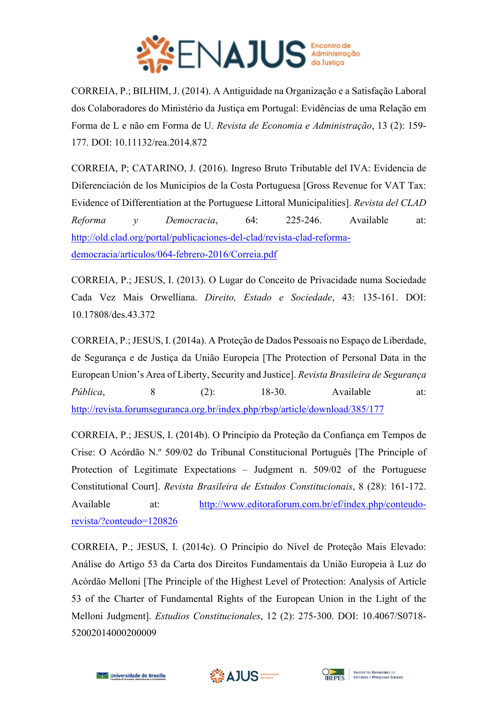

CORREIA, P.; BILHIM, J. (2014). A Antiguidade na Organização e a Satisfação Laboral dos Colaboradores do Ministério da Justiça em Portugal: Evidências de uma Relação em Forma de L e não em Forma de U. *Revista de Economia e Administração*, 13 (2): 159- 177. DOI: 10.11132/rea.2014.872

CORREIA, P; CATARINO, J. (2016). Ingreso Bruto Tributable del IVA: Evidencia de Diferenciación de los Municipios de la Costa Portuguesa [Gross Revenue for VAT Tax: Evidence of Differentiation at the Portuguese Littoral Municipalities]. *Revista del CLAD Reforma y Democracia*, 64: 225-246. Available at: http://old.clad.org/portal/publicaciones-del-clad/revista-clad-reformademocracia/articulos/064-febrero-2016/Correia.pdf

CORREIA, P.; JESUS, I. (2013). O Lugar do Conceito de Privacidade numa Sociedade Cada Vez Mais Orwelliana. *Direito, Estado e Sociedade*, 43: 135-161. DOI: 10.17808/des.43.372

CORREIA, P.; JESUS, I. (2014a). A Proteção de Dados Pessoais no Espaço de Liberdade, de Segurança e de Justiça da União Europeia [The Protection of Personal Data in the European Union's Area of Liberty, Security and Justice]. *Revista Brasileira de Segurança Pública*, 8 (2): 18-30. Available at: http://revista.forumseguranca.org.br/index.php/rbsp/article/download/385/177

CORREIA, P.; JESUS, I. (2014b). O Princípio da Proteção da Confiança em Tempos de Crise: O Acórdão N.º 509/02 do Tribunal Constitucional Português [The Principle of Protection of Legitimate Expectations – Judgment n. 509/02 of the Portuguese Constitutional Court]. *Revista Brasileira de Estudos Constitucionais*, 8 (28): 161-172. Available at: http://www.editoraforum.com.br/ef/index.php/conteudorevista/?conteudo=120826

CORREIA, P.; JESUS, I. (2014c). O Princípio do Nível de Proteção Mais Elevado: Análise do Artigo 53 da Carta dos Direitos Fundamentais da União Europeia à Luz do Acórdão Melloni [The Principle of the Highest Level of Protection: Analysis of Article 53 of the Charter of Fundamental Rights of the European Union in the Light of the Melloni Judgment]. *Estudios Constitucionales*, 12 (2): 275-300. DOI: 10.4067/S0718- 52002014000200009



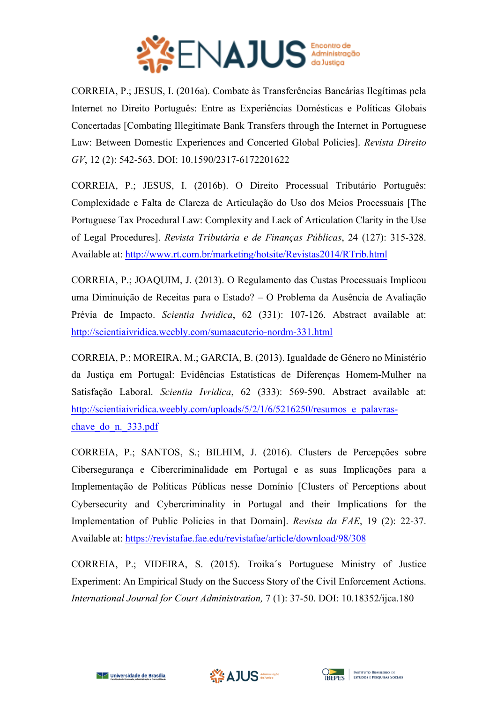

CORREIA, P.; JESUS, I. (2016a). Combate às Transferências Bancárias Ilegítimas pela Internet no Direito Português: Entre as Experiências Domésticas e Políticas Globais Concertadas [Combating Illegitimate Bank Transfers through the Internet in Portuguese Law: Between Domestic Experiences and Concerted Global Policies]. *Revista Direito GV*, 12 (2): 542-563. DOI: 10.1590/2317-6172201622

CORREIA, P.; JESUS, I. (2016b). O Direito Processual Tributário Português: Complexidade e Falta de Clareza de Articulação do Uso dos Meios Processuais [The Portuguese Tax Procedural Law: Complexity and Lack of Articulation Clarity in the Use of Legal Procedures]. *Revista Tributária e de Finanças Públicas*, 24 (127): 315-328. Available at: http://www.rt.com.br/marketing/hotsite/Revistas2014/RTrib.html

CORREIA, P.; JOAQUIM, J. (2013). O Regulamento das Custas Processuais Implicou uma Diminuição de Receitas para o Estado? – O Problema da Ausência de Avaliação Prévia de Impacto. *Scientia Ivridica*, 62 (331): 107-126. Abstract available at: http://scientiaivridica.weebly.com/sumaacuterio-nordm-331.html

CORREIA, P.; MOREIRA, M.; GARCIA, B. (2013). Igualdade de Género no Ministério da Justiça em Portugal: Evidências Estatísticas de Diferenças Homem-Mulher na Satisfação Laboral. *Scientia Ivridica*, 62 (333): 569-590. Abstract available at: http://scientiaivridica.weebly.com/uploads/5/2/1/6/5216250/resumos e palavraschave do n. 333.pdf

CORREIA, P.; SANTOS, S.; BILHIM, J. (2016). Clusters de Percepções sobre Cibersegurança e Cibercriminalidade em Portugal e as suas Implicações para a Implementação de Políticas Públicas nesse Domínio [Clusters of Perceptions about Cybersecurity and Cybercriminality in Portugal and their Implications for the Implementation of Public Policies in that Domain]. *Revista da FAE*, 19 (2): 22-37. Available at: https://revistafae.fae.edu/revistafae/article/download/98/308

CORREIA, P.; VIDEIRA, S. (2015). Troika´s Portuguese Ministry of Justice Experiment: An Empirical Study on the Success Story of the Civil Enforcement Actions. *International Journal for Court Administration,* 7 (1): 37-50. DOI: 10.18352/ijca.180



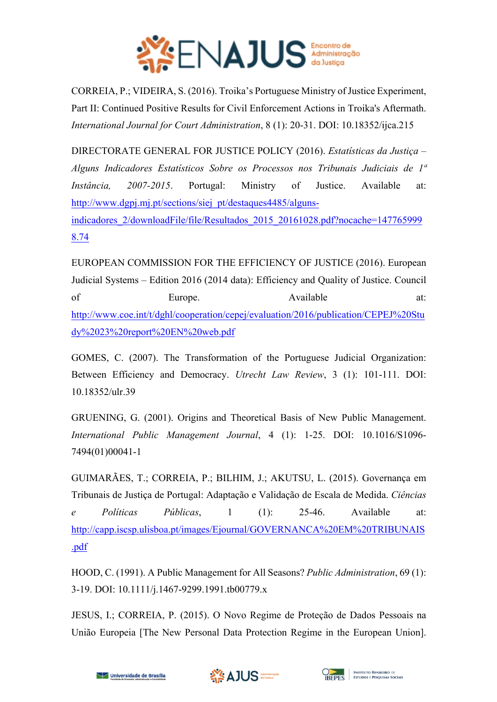

CORREIA, P.; VIDEIRA, S. (2016). Troika's Portuguese Ministry of Justice Experiment, Part II: Continued Positive Results for Civil Enforcement Actions in Troika's Aftermath. *International Journal for Court Administration*, 8 (1): 20-31. DOI: 10.18352/ijca.215

DIRECTORATE GENERAL FOR JUSTICE POLICY (2016). *Estatísticas da Justiça – Alguns Indicadores Estatísticos Sobre os Processos nos Tribunais Judiciais de 1ª Instância, 2007-2015*. Portugal: Ministry of Justice. Available at: http://www.dgpj.mj.pt/sections/siej\_pt/destaques4485/algunsindicadores\_2/downloadFile/file/Resultados\_2015\_20161028.pdf?nocache=147765999 8.74

EUROPEAN COMMISSION FOR THE EFFICIENCY OF JUSTICE (2016). European Judicial Systems – Edition 2016 (2014 data): Efficiency and Quality of Justice. Council of Europe. Available at: http://www.coe.int/t/dghl/cooperation/cepej/evaluation/2016/publication/CEPEJ%20Stu dy%2023%20report%20EN%20web.pdf

GOMES, C. (2007). The Transformation of the Portuguese Judicial Organization: Between Efficiency and Democracy. *Utrecht Law Review*, 3 (1): 101-111. DOI: 10.18352/ulr.39

GRUENING, G. (2001). Origins and Theoretical Basis of New Public Management. *International Public Management Journal*, 4 (1): 1-25. DOI: 10.1016/S1096- 7494(01)00041-1

GUIMARÃES, T.; CORREIA, P.; BILHIM, J.; AKUTSU, L. (2015). Governança em Tribunais de Justiça de Portugal: Adaptação e Validação de Escala de Medida. *Ciências e Políticas Públicas*, 1 (1): 25-46. Available at: http://capp.iscsp.ulisboa.pt/images/Ejournal/GOVERNANCA%20EM%20TRIBUNAIS .pdf

HOOD, C. (1991). A Public Management for All Seasons? *Public Administration*, 69 (1): 3-19. DOI: 10.1111/j.1467-9299.1991.tb00779.x

JESUS, I.; CORREIA, P. (2015). O Novo Regime de Proteção de Dados Pessoais na União Europeia [The New Personal Data Protection Regime in the European Union].



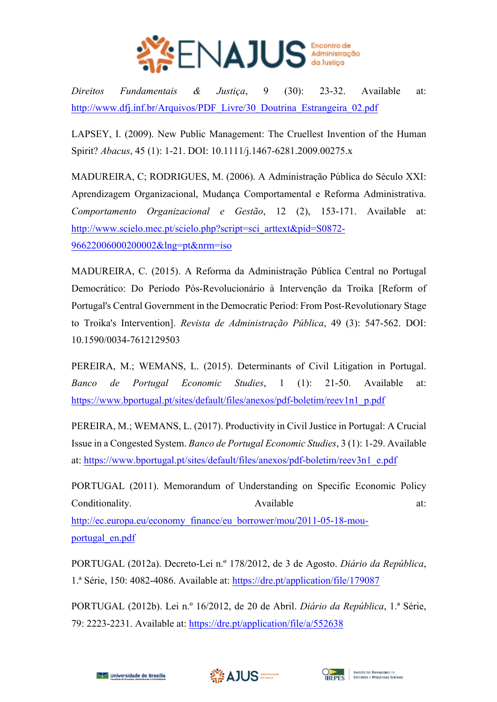

*Direitos Fundamentais & Justiça*, 9 (30): 23-32. Available at: http://www.dfj.inf.br/Arquivos/PDF\_Livre/30\_Doutrina\_Estrangeira\_02.pdf

LAPSEY, I. (2009). New Public Management: The Cruellest Invention of the Human Spirit? *Abacus*, 45 (1): 1-21. DOI: 10.1111/j.1467-6281.2009.00275.x

MADUREIRA, C; RODRIGUES, M. (2006). A Administração Pública do Século XXI: Aprendizagem Organizacional, Mudança Comportamental e Reforma Administrativa. *Comportamento Organizacional e Gestão*, 12 (2), 153-171. Available at: http://www.scielo.mec.pt/scielo.php?script=sci\_arttext&pid=S0872-96622006000200002&lng=pt&nrm=iso

MADUREIRA, C. (2015). A Reforma da Administração Pública Central no Portugal Democrático: Do Período Pós-Revolucionário à Intervenção da Troika [Reform of Portugal's Central Government in the Democratic Period: From Post-Revolutionary Stage to Troika's Intervention]. *Revista de Administração Pública*, 49 (3): 547-562. DOI: 10.1590/0034-7612129503

PEREIRA, M.; WEMANS, L. (2015). Determinants of Civil Litigation in Portugal. *Banco de Portugal Economic Studies*, 1 (1): 21-50. Available at: https://www.bportugal.pt/sites/default/files/anexos/pdf-boletim/reev1n1\_p.pdf

PEREIRA, M.; WEMANS, L. (2017). Productivity in Civil Justice in Portugal: A Crucial Issue in a Congested System. *Banco de Portugal Economic Studies*, 3 (1): 1-29. Available at: https://www.bportugal.pt/sites/default/files/anexos/pdf-boletim/reev3n1\_e.pdf

PORTUGAL (2011). Memorandum of Understanding on Specific Economic Policy Conditionality. Available at: http://ec.europa.eu/economy\_finance/eu\_borrower/mou/2011-05-18-mouportugal\_en.pdf

PORTUGAL (2012a). Decreto-Lei n.º 178/2012, de 3 de Agosto. *Diário da República*, 1.ª Série, 150: 4082-4086. Available at: https://dre.pt/application/file/179087

PORTUGAL (2012b). Lei n.º 16/2012, de 20 de Abril. *Diário da República*, 1.ª Série, 79: 2223-2231. Available at: https://dre.pt/application/file/a/552638